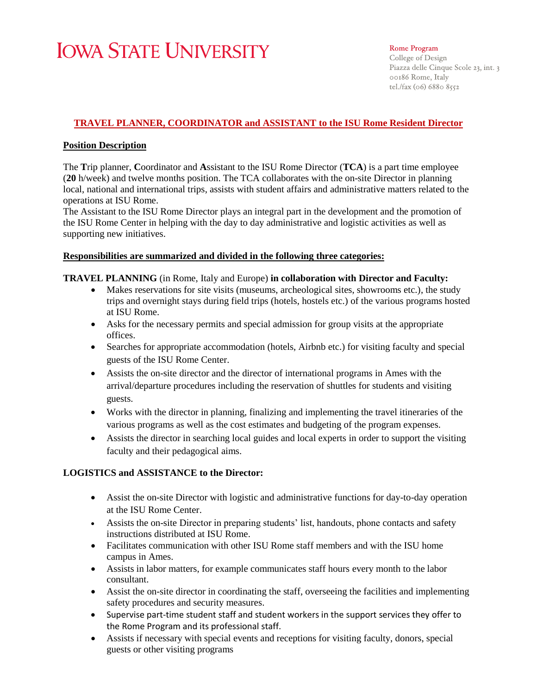# **IOWA STATE UNIVERSITY**

#### Rome Program

College of Design Piazza delle Cinque Scole 23, int. 3 00186 Rome, Italy tel./fax (06) 6880 8552

# **TRAVEL PLANNER, COORDINATOR and ASSISTANT to the ISU Rome Resident Director**

## **Position Description**

The **T**rip planner, **C**oordinator and **A**ssistant to the ISU Rome Director (**TCA**) is a part time employee (**20** h/week) and twelve months position. The TCA collaborates with the on-site Director in planning local, national and international trips, assists with student affairs and administrative matters related to the operations at ISU Rome.

The Assistant to the ISU Rome Director plays an integral part in the development and the promotion of the ISU Rome Center in helping with the day to day administrative and logistic activities as well as supporting new initiatives.

## **Responsibilities are summarized and divided in the following three categories:**

## **TRAVEL PLANNING** (in Rome, Italy and Europe) **in collaboration with Director and Faculty:**

- Makes reservations for site visits (museums, archeological sites, showrooms etc.), the study trips and overnight stays during field trips (hotels, hostels etc.) of the various programs hosted at ISU Rome.
- Asks for the necessary permits and special admission for group visits at the appropriate offices.
- Searches for appropriate accommodation (hotels, Airbnb etc.) for visiting faculty and special guests of the ISU Rome Center.
- Assists the on-site director and the director of international programs in Ames with the arrival/departure procedures including the reservation of shuttles for students and visiting guests.
- Works with the director in planning, finalizing and implementing the travel itineraries of the various programs as well as the cost estimates and budgeting of the program expenses.
- Assists the director in searching local guides and local experts in order to support the visiting faculty and their pedagogical aims.

# **LOGISTICS and ASSISTANCE to the Director:**

- Assist the on-site Director with logistic and administrative functions for day-to-day operation at the ISU Rome Center.
- Assists the on-site Director in preparing students' list, handouts, phone contacts and safety instructions distributed at ISU Rome.
- Facilitates communication with other ISU Rome staff members and with the ISU home campus in Ames.
- Assists in labor matters, for example communicates staff hours every month to the labor consultant.
- Assist the on-site director in coordinating the staff, overseeing the facilities and implementing safety procedures and security measures.
- Supervise part-time student staff and student workers in the support services they offer to the Rome Program and its professional staff.
- Assists if necessary with special events and receptions for visiting faculty, donors, special guests or other visiting programs